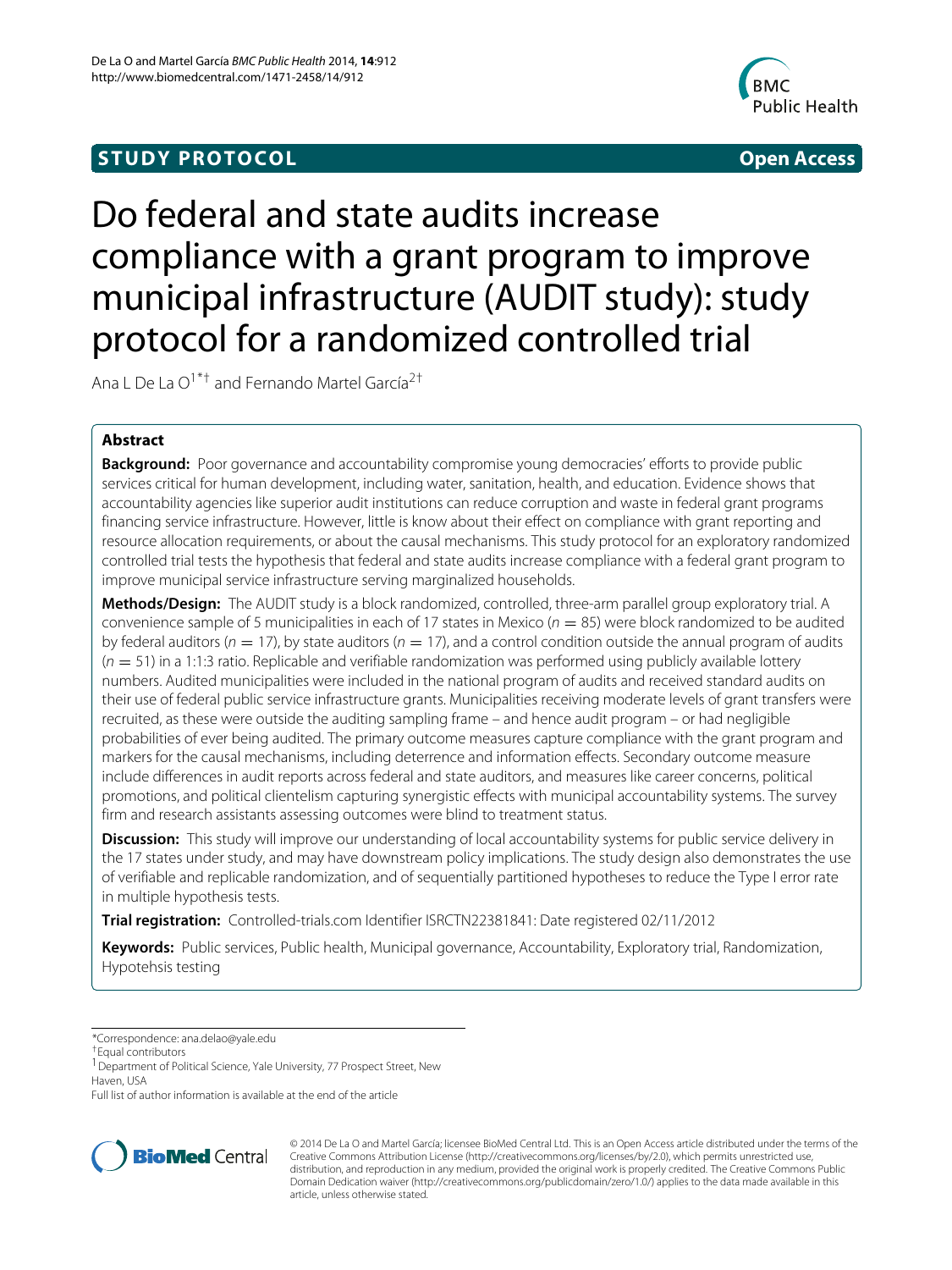# **STUDY PROTOCOL CONSUMING ACCESS**



# Do federal and state audits increase compliance with a grant program to improve municipal infrastructure (AUDIT study): study protocol for a randomized controlled trial

Ana L De La O<sup>1\*†</sup> and Fernando Martel García<sup>2†</sup>

# **Abstract**

**Background:** Poor governance and accountability compromise young democracies' efforts to provide public services critical for human development, including water, sanitation, health, and education. Evidence shows that accountability agencies like superior audit institutions can reduce corruption and waste in federal grant programs financing service infrastructure. However, little is know about their effect on compliance with grant reporting and resource allocation requirements, or about the causal mechanisms. This study protocol for an exploratory randomized controlled trial tests the hypothesis that federal and state audits increase compliance with a federal grant program to improve municipal service infrastructure serving marginalized households.

**Methods/Design:** The AUDIT study is a block randomized, controlled, three-arm parallel group exploratory trial. A convenience sample of 5 municipalities in each of 17 states in Mexico ( $n = 85$ ) were block randomized to be audited by federal auditors ( $n = 17$ ), by state auditors ( $n = 17$ ), and a control condition outside the annual program of audits  $(n = 51)$  in a 1:1:3 ratio. Replicable and verifiable randomization was performed using publicly available lottery numbers. Audited municipalities were included in the national program of audits and received standard audits on their use of federal public service infrastructure grants. Municipalities receiving moderate levels of grant transfers were recruited, as these were outside the auditing sampling frame – and hence audit program – or had negligible probabilities of ever being audited. The primary outcome measures capture compliance with the grant program and markers for the causal mechanisms, including deterrence and information effects. Secondary outcome measure include differences in audit reports across federal and state auditors, and measures like career concerns, political promotions, and political clientelism capturing synergistic effects with municipal accountability systems. The survey firm and research assistants assessing outcomes were blind to treatment status.

**Discussion:** This study will improve our understanding of local accountability systems for public service delivery in the 17 states under study, and may have downstream policy implications. The study design also demonstrates the use of verifiable and replicable randomization, and of sequentially partitioned hypotheses to reduce the Type I error rate in multiple hypothesis tests.

**Trial registration:** Controlled-trials.com Identifier [ISRCTN22381841:](http://www.controlled-trials.com/ISRCTN22381841) Date registered 02/11/2012

**Keywords:** Public services, Public health, Municipal governance, Accountability, Exploratory trial, Randomization, Hypotehsis testing

Full list of author information is available at the end of the article



© 2014 De La O and Martel García; licensee BioMed Central Ltd. This is an Open Access article distributed under the terms of the Creative Commons Attribution License [\(http://creativecommons.org/licenses/by/2.0\)](http://creativecommons.org/licenses/by/2.0), which permits unrestricted use, distribution, and reproduction in any medium, provided the original work is properly credited. The Creative Commons Public Domain Dedication waiver [\(http://creativecommons.org/publicdomain/zero/1.0/\)](http://creativecommons.org/publicdomain/zero/1.0/) applies to the data made available in this article, unless otherwise stated.

<sup>\*</sup>Correspondence: [ana.delao@yale.edu](mailto:ana.delao@yale.edu)

<sup>†</sup>Equal contributors

<sup>&</sup>lt;sup>1</sup> Department of Political Science, Yale University, 77 Prospect Street, New Haven, USA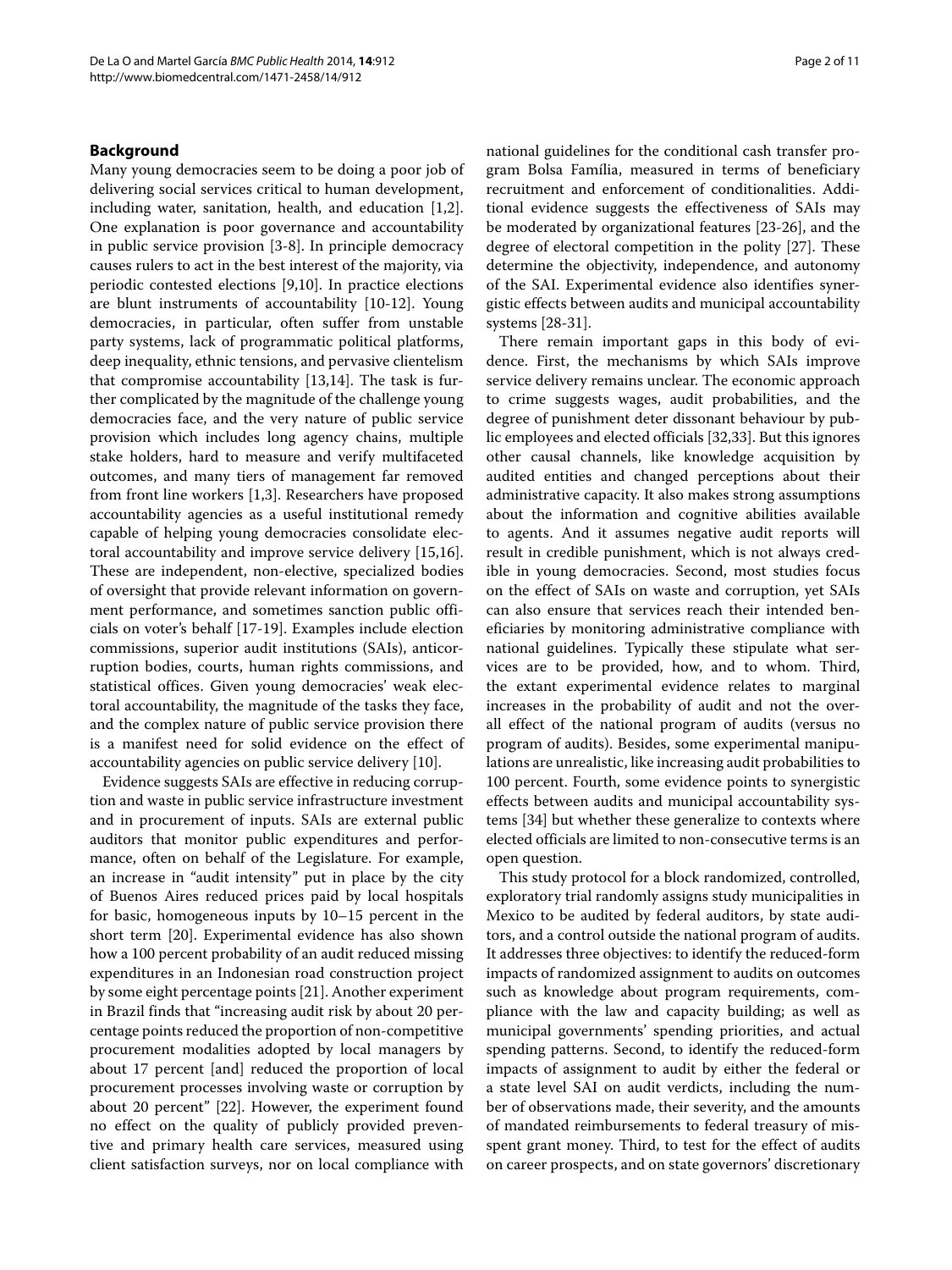## **Background**

Many young democracies seem to be doing a poor job of delivering social services critical to human development, including water, sanitation, health, and education [\[1](#page-9-0)[,2\]](#page-9-1). One explanation is poor governance and accountability in public service provision [\[3-](#page-9-2)[8\]](#page-9-3). In principle democracy causes rulers to act in the best interest of the majority, via periodic contested elections [\[9,](#page-9-4)[10\]](#page-9-5). In practice elections are blunt instruments of accountability [\[10](#page-9-5)[-12\]](#page-9-6). Young democracies, in particular, often suffer from unstable party systems, lack of programmatic political platforms, deep inequality, ethnic tensions, and pervasive clientelism that compromise accountability [\[13,](#page-9-7)[14\]](#page-9-8). The task is further complicated by the magnitude of the challenge young democracies face, and the very nature of public service provision which includes long agency chains, multiple stake holders, hard to measure and verify multifaceted outcomes, and many tiers of management far removed from front line workers [\[1,](#page-9-0)[3\]](#page-9-2). Researchers have proposed accountability agencies as a useful institutional remedy capable of helping young democracies consolidate electoral accountability and improve service delivery [\[15,](#page-9-9)[16\]](#page-9-10). These are independent, non-elective, specialized bodies of oversight that provide relevant information on government performance, and sometimes sanction public officials on voter's behalf [\[17](#page-9-11)[-19\]](#page-9-12). Examples include election commissions, superior audit institutions (SAIs), anticorruption bodies, courts, human rights commissions, and statistical offices. Given young democracies' weak electoral accountability, the magnitude of the tasks they face, and the complex nature of public service provision there is a manifest need for solid evidence on the effect of accountability agencies on public service delivery [\[10\]](#page-9-5).

Evidence suggests SAIs are effective in reducing corruption and waste in public service infrastructure investment and in procurement of inputs. SAIs are external public auditors that monitor public expenditures and performance, often on behalf of the Legislature. For example, an increase in "audit intensity" put in place by the city of Buenos Aires reduced prices paid by local hospitals for basic, homogeneous inputs by 10–15 percent in the short term [\[20\]](#page-9-13). Experimental evidence has also shown how a 100 percent probability of an audit reduced missing expenditures in an Indonesian road construction project by some eight percentage points [\[21\]](#page-9-14). Another experiment in Brazil finds that "increasing audit risk by about 20 percentage points reduced the proportion of non-competitive procurement modalities adopted by local managers by about 17 percent [and] reduced the proportion of local procurement processes involving waste or corruption by about 20 percent" [\[22\]](#page-9-15). However, the experiment found no effect on the quality of publicly provided preventive and primary health care services, measured using client satisfaction surveys, nor on local compliance with

national guidelines for the conditional cash transfer program Bolsa Família, measured in terms of beneficiary recruitment and enforcement of conditionalities. Additional evidence suggests the effectiveness of SAIs may be moderated by organizational features [\[23](#page-9-16)[-26\]](#page-9-17), and the degree of electoral competition in the polity [\[27\]](#page-9-18). These determine the objectivity, independence, and autonomy of the SAI. Experimental evidence also identifies synergistic effects between audits and municipal accountability systems [\[28](#page-9-19)[-31\]](#page-9-20).

There remain important gaps in this body of evidence. First, the mechanisms by which SAIs improve service delivery remains unclear. The economic approach to crime suggests wages, audit probabilities, and the degree of punishment deter dissonant behaviour by public employees and elected officials [\[32,](#page-9-21)[33\]](#page-9-22). But this ignores other causal channels, like knowledge acquisition by audited entities and changed perceptions about their administrative capacity. It also makes strong assumptions about the information and cognitive abilities available to agents. And it assumes negative audit reports will result in credible punishment, which is not always credible in young democracies. Second, most studies focus on the effect of SAIs on waste and corruption, yet SAIs can also ensure that services reach their intended beneficiaries by monitoring administrative compliance with national guidelines. Typically these stipulate what services are to be provided, how, and to whom. Third, the extant experimental evidence relates to marginal increases in the probability of audit and not the overall effect of the national program of audits (versus no program of audits). Besides, some experimental manipulations are unrealistic, like increasing audit probabilities to 100 percent. Fourth, some evidence points to synergistic effects between audits and municipal accountability systems [\[34\]](#page-9-23) but whether these generalize to contexts where elected officials are limited to non-consecutive terms is an open question.

This study protocol for a block randomized, controlled, exploratory trial randomly assigns study municipalities in Mexico to be audited by federal auditors, by state auditors, and a control outside the national program of audits. It addresses three objectives: to identify the reduced-form impacts of randomized assignment to audits on outcomes such as knowledge about program requirements, compliance with the law and capacity building; as well as municipal governments' spending priorities, and actual spending patterns. Second, to identify the reduced-form impacts of assignment to audit by either the federal or a state level SAI on audit verdicts, including the number of observations made, their severity, and the amounts of mandated reimbursements to federal treasury of misspent grant money. Third, to test for the effect of audits on career prospects, and on state governors' discretionary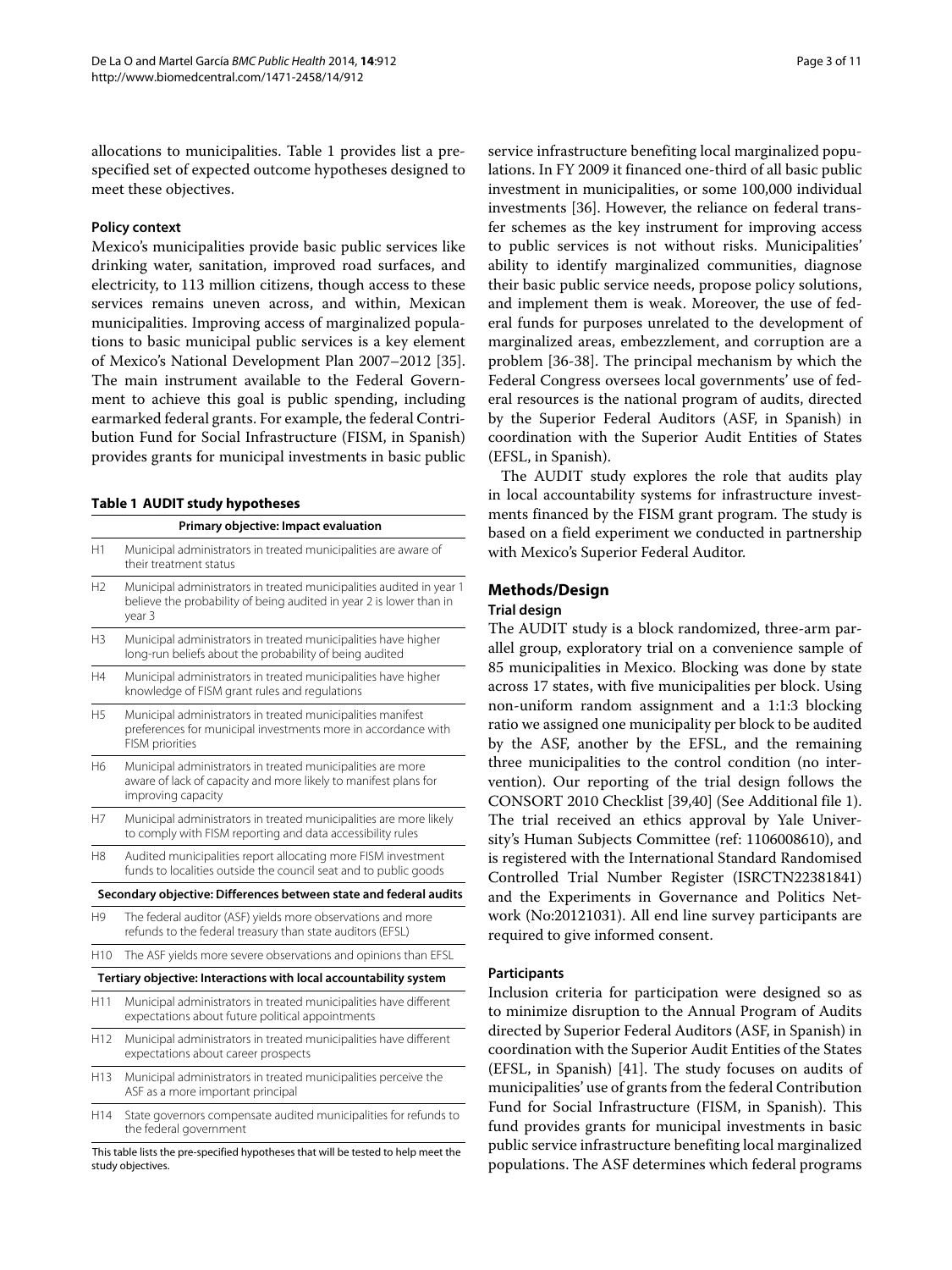allocations to municipalities. Table [1](#page-2-0) provides list a prespecified set of expected outcome hypotheses designed to meet these objectives.

## **Policy context**

Mexico's municipalities provide basic public services like drinking water, sanitation, improved road surfaces, and electricity, to 113 million citizens, though access to these services remains uneven across, and within, Mexican municipalities. Improving access of marginalized populations to basic municipal public services is a key element of Mexico's National Development Plan 2007–2012 [\[35\]](#page-9-24). The main instrument available to the Federal Government to achieve this goal is public spending, including earmarked federal grants. For example, the federal Contribution Fund for Social Infrastructure (FISM, in Spanish) provides grants for municipal investments in basic public

## **Table 1 AUDIT study hypotheses**

<span id="page-2-0"></span>**Primary objective: Impact evaluation**

| H1              | Municipal administrators in treated municipalities are aware of<br>their treatment status                                                             |  |  |  |
|-----------------|-------------------------------------------------------------------------------------------------------------------------------------------------------|--|--|--|
| H <sub>2</sub>  | Municipal administrators in treated municipalities audited in year 1<br>believe the probability of being audited in year 2 is lower than in<br>year 3 |  |  |  |
| H3              | Municipal administrators in treated municipalities have higher<br>long-run beliefs about the probability of being audited                             |  |  |  |
| H4              | Municipal administrators in treated municipalities have higher<br>knowledge of FISM grant rules and regulations                                       |  |  |  |
| H <sub>5</sub>  | Municipal administrators in treated municipalities manifest<br>preferences for municipal investments more in accordance with<br>FISM priorities       |  |  |  |
| H <sub>6</sub>  | Municipal administrators in treated municipalities are more<br>aware of lack of capacity and more likely to manifest plans for<br>improving capacity  |  |  |  |
| H7              | Municipal administrators in treated municipalities are more likely<br>to comply with FISM reporting and data accessibility rules                      |  |  |  |
| H <sub>8</sub>  | Audited municipalities report allocating more FISM investment<br>funds to localities outside the council seat and to public goods                     |  |  |  |
|                 | Secondary objective: Differences between state and federal audits                                                                                     |  |  |  |
| Η9              | The federal auditor (ASF) yields more observations and more<br>refunds to the federal treasury than state auditors (EFSL)                             |  |  |  |
| H <sub>10</sub> | The ASF yields more severe observations and opinions than EFSL                                                                                        |  |  |  |
|                 | Tertiary objective: Interactions with local accountability system                                                                                     |  |  |  |
| H11             | Municipal administrators in treated municipalities have different<br>expectations about future political appointments                                 |  |  |  |
| H <sub>12</sub> | Municipal administrators in treated municipalities have different<br>expectations about career prospects                                              |  |  |  |
| H13             | Municipal administrators in treated municipalities perceive the<br>ASF as a more important principal                                                  |  |  |  |
| H14             | State governors compensate audited municipalities for refunds to<br>the federal government                                                            |  |  |  |

This table lists the pre-specified hypotheses that will be tested to help meet the study objectives.

service infrastructure benefiting local marginalized populations. In FY 2009 it financed one-third of all basic public investment in municipalities, or some 100,000 individual investments [\[36\]](#page-9-25). However, the reliance on federal transfer schemes as the key instrument for improving access to public services is not without risks. Municipalities' ability to identify marginalized communities, diagnose their basic public service needs, propose policy solutions, and implement them is weak. Moreover, the use of federal funds for purposes unrelated to the development of marginalized areas, embezzlement, and corruption are a problem [\[36-](#page-9-25)[38\]](#page-9-26). The principal mechanism by which the Federal Congress oversees local governments' use of federal resources is the national program of audits, directed by the Superior Federal Auditors (ASF, in Spanish) in coordination with the Superior Audit Entities of States (EFSL, in Spanish).

The AUDIT study explores the role that audits play in local accountability systems for infrastructure investments financed by the FISM grant program. The study is based on a field experiment we conducted in partnership with Mexico's Superior Federal Auditor.

# **Methods/Design**

## **Trial design**

The AUDIT study is a block randomized, three-arm parallel group, exploratory trial on a convenience sample of 85 municipalities in Mexico. Blocking was done by state across 17 states, with five municipalities per block. Using non-uniform random assignment and a 1:1:3 blocking ratio we assigned one municipality per block to be audited by the ASF, another by the EFSL, and the remaining three municipalities to the control condition (no intervention). Our reporting of the trial design follows the CONSORT 2010 Checklist [\[39,](#page-9-27)[40\]](#page-9-28) (See Additional file [1\)](#page-8-0). The trial received an ethics approval by Yale University's Human Subjects Committee (ref: 1106008610), and is registered with the International Standard Randomised Controlled Trial Number Register (ISRCTN22381841) and the Experiments in Governance and Politics Network (No:20121031). All end line survey participants are required to give informed consent.

## **Participants**

Inclusion criteria for participation were designed so as to minimize disruption to the Annual Program of Audits directed by Superior Federal Auditors (ASF, in Spanish) in coordination with the Superior Audit Entities of the States (EFSL, in Spanish) [\[41\]](#page-9-29). The study focuses on audits of municipalities' use of grants from the federal Contribution Fund for Social Infrastructure (FISM, in Spanish). This fund provides grants for municipal investments in basic public service infrastructure benefiting local marginalized populations. The ASF determines which federal programs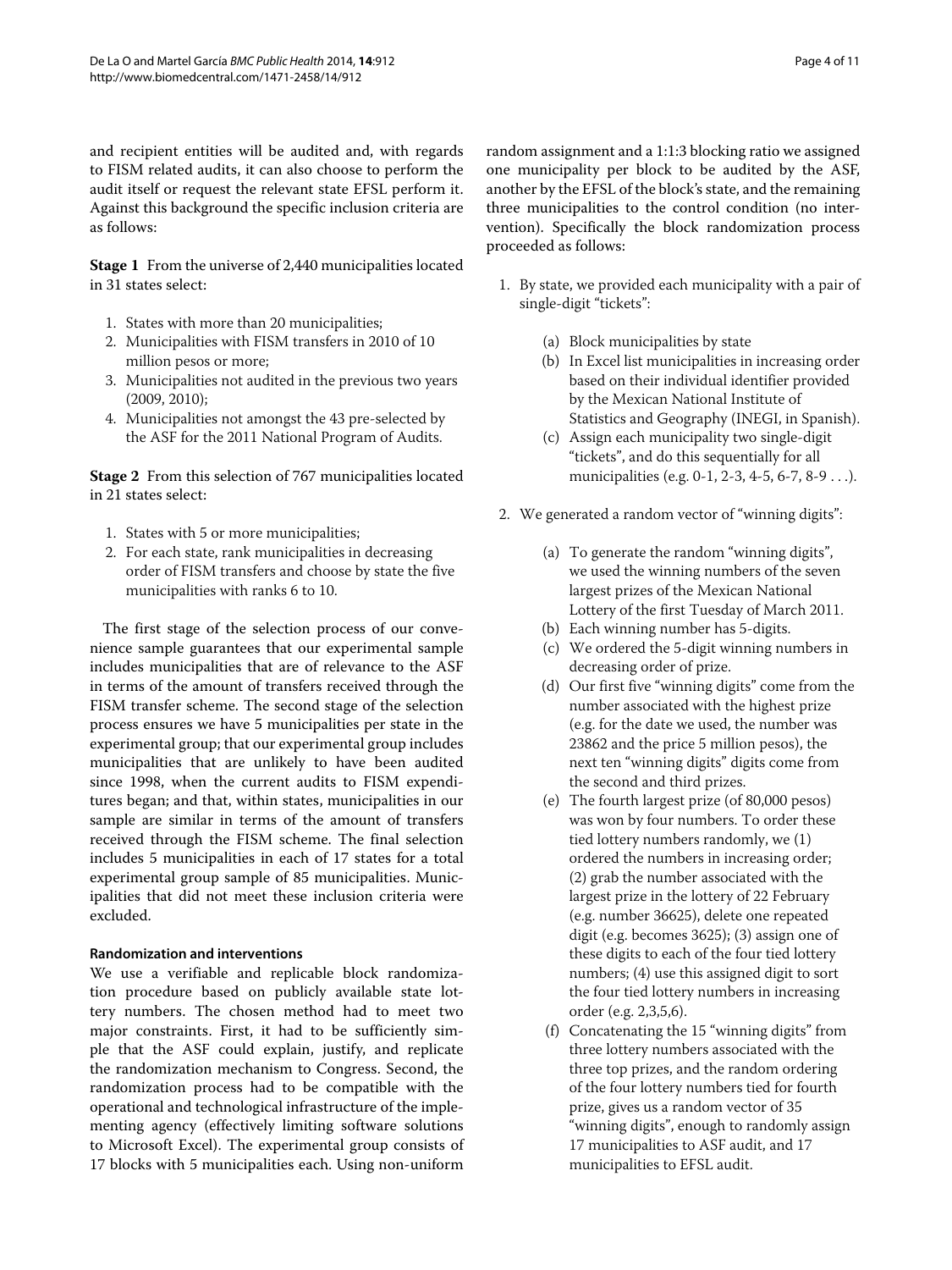and recipient entities will be audited and, with regards to FISM related audits, it can also choose to perform the audit itself or request the relevant state EFSL perform it. Against this background the specific inclusion criteria are as follows:

**Stage 1** From the universe of 2,440 municipalities located in 31 states select:

- 1. States with more than 20 municipalities;
- 2. Municipalities with FISM transfers in 2010 of 10 million pesos or more;
- 3. Municipalities not audited in the previous two years (2009, 2010);
- 4. Municipalities not amongst the 43 pre-selected by the ASF for the 2011 National Program of Audits.

**Stage 2** From this selection of 767 municipalities located in 21 states select:

- 1. States with 5 or more municipalities;
- 2. For each state, rank municipalities in decreasing order of FISM transfers and choose by state the five municipalities with ranks 6 to 10.

The first stage of the selection process of our convenience sample guarantees that our experimental sample includes municipalities that are of relevance to the ASF in terms of the amount of transfers received through the FISM transfer scheme. The second stage of the selection process ensures we have 5 municipalities per state in the experimental group; that our experimental group includes municipalities that are unlikely to have been audited since 1998, when the current audits to FISM expenditures began; and that, within states, municipalities in our sample are similar in terms of the amount of transfers received through the FISM scheme. The final selection includes 5 municipalities in each of 17 states for a total experimental group sample of 85 municipalities. Municipalities that did not meet these inclusion criteria were excluded.

# **Randomization and interventions**

We use a verifiable and replicable block randomization procedure based on publicly available state lottery numbers. The chosen method had to meet two major constraints. First, it had to be sufficiently simple that the ASF could explain, justify, and replicate the randomization mechanism to Congress. Second, the randomization process had to be compatible with the operational and technological infrastructure of the implementing agency (effectively limiting software solutions to Microsoft Excel). The experimental group consists of 17 blocks with 5 municipalities each. Using non-uniform

random assignment and a 1:1:3 blocking ratio we assigned one municipality per block to be audited by the ASF, another by the EFSL of the block's state, and the remaining three municipalities to the control condition (no intervention). Specifically the block randomization process proceeded as follows:

- 1. By state, we provided each municipality with a pair of single-digit "tickets":
	- (a) Block municipalities by state
	- (b) In Excel list municipalities in increasing order based on their individual identifier provided by the Mexican National Institute of Statistics and Geography (INEGI, in Spanish).
	- (c) Assign each municipality two single-digit "tickets", and do this sequentially for all municipalities (e.g. 0-1, 2-3, 4-5, 6-7, 8-9 ...).
- 2. We generated a random vector of "winning digits":
	- (a) To generate the random "winning digits", we used the winning numbers of the seven largest prizes of the Mexican National Lottery of the first Tuesday of March 2011.
	- (b) Each winning number has 5-digits.
	- (c) We ordered the 5-digit winning numbers in decreasing order of prize.
	- (d) Our first five "winning digits" come from the number associated with the highest prize (e.g. for the date we used, the number was 23862 and the price 5 million pesos), the next ten "winning digits" digits come from the second and third prizes.
	- (e) The fourth largest prize (of 80,000 pesos) was won by four numbers. To order these tied lottery numbers randomly, we (1) ordered the numbers in increasing order; (2) grab the number associated with the largest prize in the lottery of 22 February (e.g. number 36625), delete one repeated digit (e.g. becomes 3625); (3) assign one of these digits to each of the four tied lottery numbers; (4) use this assigned digit to sort the four tied lottery numbers in increasing order (e.g. 2,3,5,6).
	- (f) Concatenating the 15 "winning digits" from three lottery numbers associated with the three top prizes, and the random ordering of the four lottery numbers tied for fourth prize, gives us a random vector of 35 "winning digits", enough to randomly assign 17 municipalities to ASF audit, and 17 municipalities to EFSL audit.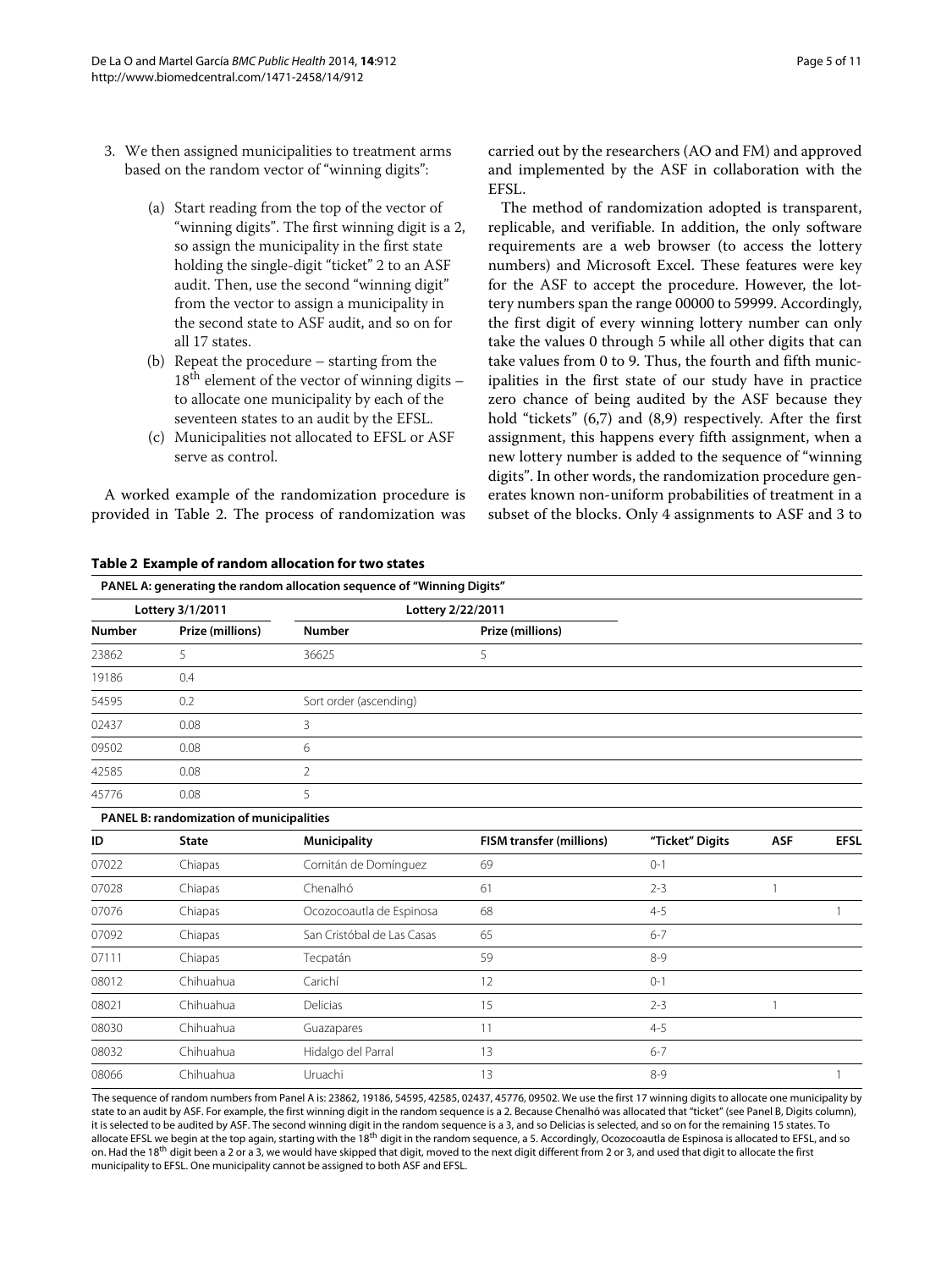- 3. We then assigned municipalities to treatment arms based on the random vector of "winning digits":
	- (a) Start reading from the top of the vector of "winning digits". The first winning digit is a 2, so assign the municipality in the first state holding the single-digit "ticket" 2 to an ASF audit. Then, use the second "winning digit" from the vector to assign a municipality in the second state to ASF audit, and so on for all 17 states.
	- (b) Repeat the procedure starting from the  $18<sup>th</sup>$  element of the vector of winning digits – to allocate one municipality by each of the seventeen states to an audit by the EFSL.
	- (c) Municipalities not allocated to EFSL or ASF serve as control.

A worked example of the randomization procedure is provided in Table [2.](#page-4-0) The process of randomization was

<span id="page-4-0"></span>

|  | Table 2 Example of random allocation for two states |  |
|--|-----------------------------------------------------|--|
|--|-----------------------------------------------------|--|

carried out by the researchers (AO and FM) and approved and implemented by the ASF in collaboration with the EFSL.

The method of randomization adopted is transparent, replicable, and verifiable. In addition, the only software requirements are a web browser (to access the lottery numbers) and Microsoft Excel. These features were key for the ASF to accept the procedure. However, the lottery numbers span the range 00000 to 59999. Accordingly, the first digit of every winning lottery number can only take the values 0 through 5 while all other digits that can take values from 0 to 9. Thus, the fourth and fifth municipalities in the first state of our study have in practice zero chance of being audited by the ASF because they hold "tickets" (6,7) and (8,9) respectively. After the first assignment, this happens every fifth assignment, when a new lottery number is added to the sequence of "winning digits". In other words, the randomization procedure generates known non-uniform probabilities of treatment in a subset of the blocks. Only 4 assignments to ASF and 3 to

| Lottery 3/1/2011 |                                          | Lottery 2/22/2011          |                                 |                 |              |             |
|------------------|------------------------------------------|----------------------------|---------------------------------|-----------------|--------------|-------------|
| <b>Number</b>    | Prize (millions)                         | <b>Number</b>              | Prize (millions)                |                 |              |             |
| 23862            | 5                                        | 36625                      | 5                               |                 |              |             |
| 19186            | 0.4                                      |                            |                                 |                 |              |             |
| 54595            | 0.2                                      | Sort order (ascending)     |                                 |                 |              |             |
| 02437            | 0.08                                     | 3                          |                                 |                 |              |             |
| 09502            | 0.08                                     | 6                          |                                 |                 |              |             |
| 42585            | 0.08                                     | $\overline{2}$             |                                 |                 |              |             |
| 45776            | 0.08                                     | 5                          |                                 |                 |              |             |
|                  | PANEL B: randomization of municipalities |                            |                                 |                 |              |             |
| ID               | <b>State</b>                             | <b>Municipality</b>        | <b>FISM transfer (millions)</b> | "Ticket" Digits | <b>ASF</b>   | <b>EFSL</b> |
| 07022            | Chiapas                                  | Comitán de Domínguez       | 69                              | $0 - 1$         |              |             |
| 07028            | Chiapas                                  | Chenalhó                   | 61                              | $2 - 3$         | $\mathbf{1}$ |             |
| 07076            | Chiapas                                  | Ocozocoautla de Espinosa   | 68                              | $4 - 5$         |              | 1           |
| 07092            | Chiapas                                  | San Cristóbal de Las Casas | 65                              | $6 - 7$         |              |             |
| 07111            | Chiapas                                  | Tecpatán                   | 59                              | $8 - 9$         |              |             |
| 08012            | Chihuahua                                | Carichí                    | 12                              | $0 - 1$         |              |             |
| 08021            | Chihuahua                                | Delicias                   | 15                              | $2 - 3$         | 1            |             |
| 08030            | Chihuahua                                | Guazapares                 | 11                              | $4 - 5$         |              |             |
| 08032            | Chihuahua                                | Hidalgo del Parral         | 13                              | $6 - 7$         |              |             |
| 08066            | Chihuahua                                | Uruachi                    | 13                              | $8 - 9$         |              | 1           |

The sequence of random numbers from Panel A is: 23862, 19186, 54595, 42585, 02437, 45776, 09502. We use the first 17 winning digits to allocate one municipality by state to an audit by ASF. For example, the first winning digit in the random sequence is a 2. Because Chenalhó was allocated that "ticket" (see Panel B, Digits column), it is selected to be audited by ASF. The second winning digit in the random sequence is a 3, and so Delicias is selected, and so on for the remaining 15 states. To allocate EFSL we begin at the top again, starting with the 18<sup>th</sup> digit in the random sequence, a 5. Accordingly, Ocozocoautla de Espinosa is allocated to EFSL, and so on. Had the 18<sup>th</sup> digit been a 2 or a 3, we would have skipped that digit, moved to the next digit different from 2 or 3, and used that digit to allocate the first municipality to EFSL. One municipality cannot be assigned to both ASF and EFSL.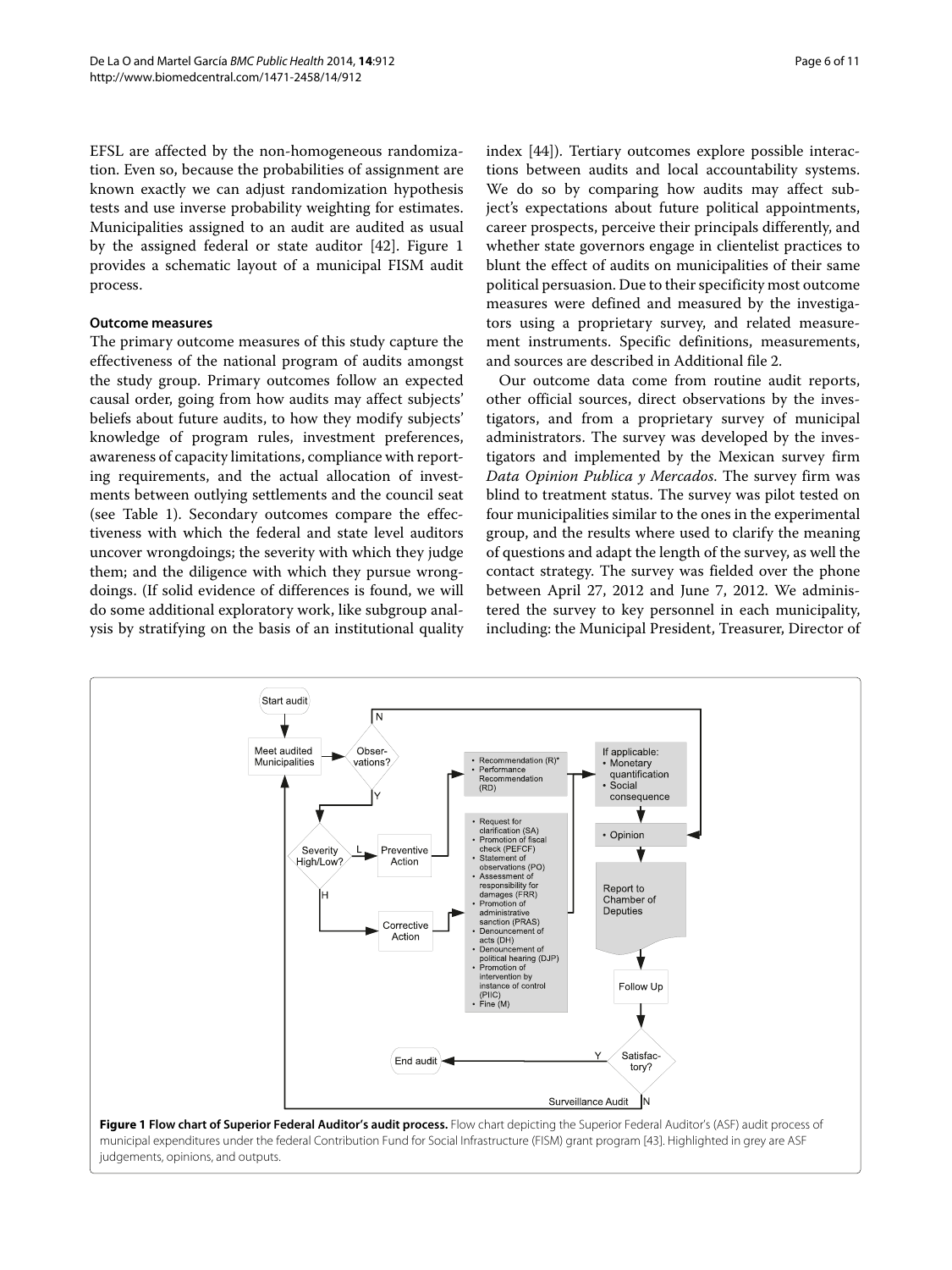EFSL are affected by the non-homogeneous randomization. Even so, because the probabilities of assignment are known exactly we can adjust randomization hypothesis tests and use inverse probability weighting for estimates. Municipalities assigned to an audit are audited as usual by the assigned federal or state auditor [\[42\]](#page-9-30). Figure [1](#page-5-0) provides a schematic layout of a municipal FISM audit process.

# **Outcome measures**

The primary outcome measures of this study capture the effectiveness of the national program of audits amongst the study group. Primary outcomes follow an expected causal order, going from how audits may affect subjects' beliefs about future audits, to how they modify subjects' knowledge of program rules, investment preferences, awareness of capacity limitations, compliance with reporting requirements, and the actual allocation of investments between outlying settlements and the council seat (see Table [1\)](#page-2-0). Secondary outcomes compare the effectiveness with which the federal and state level auditors uncover wrongdoings; the severity with which they judge them; and the diligence with which they pursue wrongdoings. (If solid evidence of differences is found, we will do some additional exploratory work, like subgroup analysis by stratifying on the basis of an institutional quality index [\[44\]](#page-9-31)). Tertiary outcomes explore possible interactions between audits and local accountability systems. We do so by comparing how audits may affect subject's expectations about future political appointments, career prospects, perceive their principals differently, and whether state governors engage in clientelist practices to blunt the effect of audits on municipalities of their same political persuasion. Due to their specificity most outcome measures were defined and measured by the investigators using a proprietary survey, and related measurement instruments. Specific definitions, measurements, and sources are described in Additional file [2.](#page-8-1)

Our outcome data come from routine audit reports, other official sources, direct observations by the investigators, and from a proprietary survey of municipal administrators. The survey was developed by the investigators and implemented by the Mexican survey firm *Data Opinion Publica y Mercados*. The survey firm was blind to treatment status. The survey was pilot tested on four municipalities similar to the ones in the experimental group, and the results where used to clarify the meaning of questions and adapt the length of the survey, as well the contact strategy. The survey was fielded over the phone between April 27, 2012 and June 7, 2012. We administered the survey to key personnel in each municipality, including: the Municipal President, Treasurer, Director of

<span id="page-5-0"></span>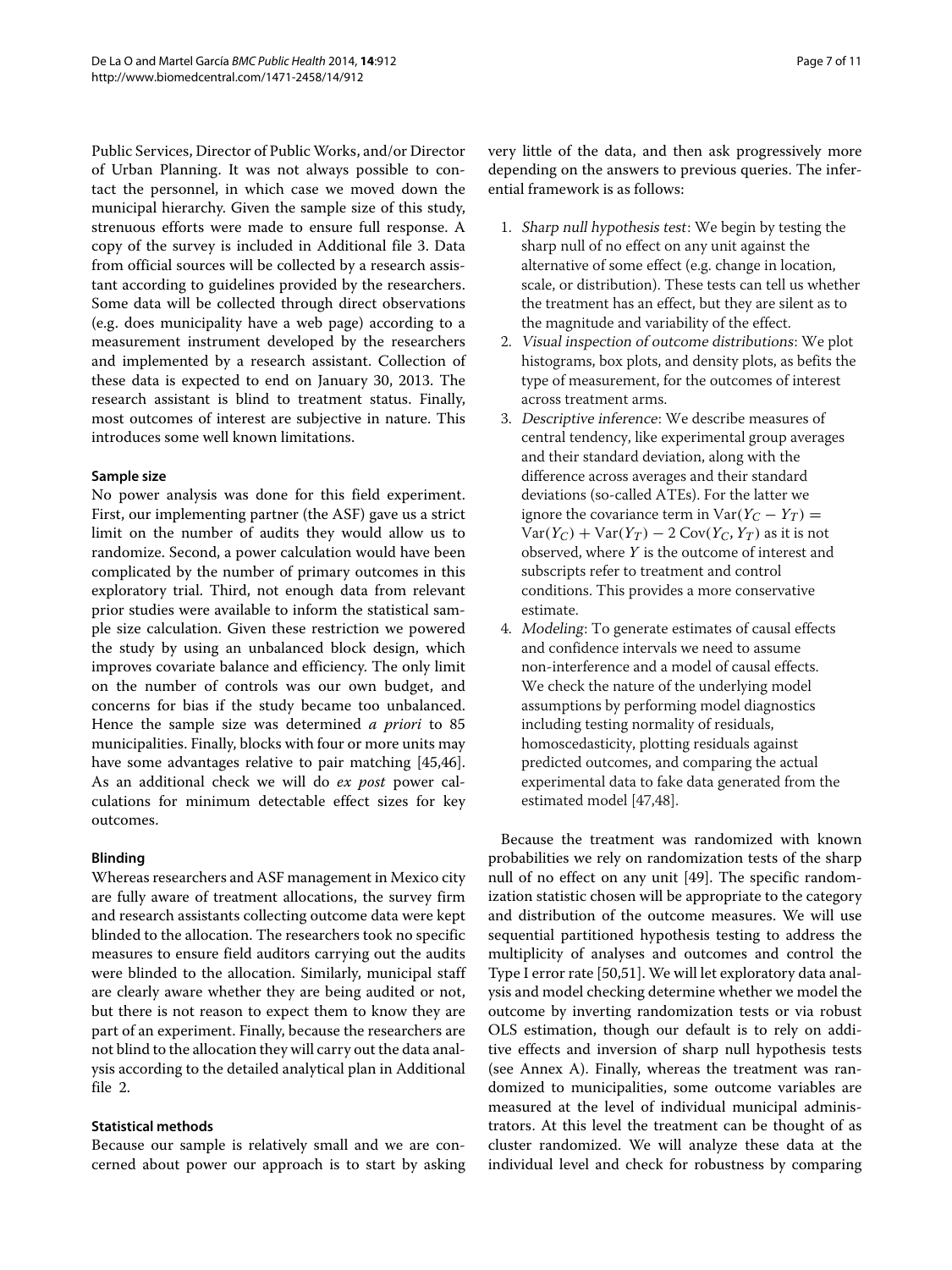Public Services, Director of Public Works, and/or Director of Urban Planning. It was not always possible to contact the personnel, in which case we moved down the municipal hierarchy. Given the sample size of this study, strenuous efforts were made to ensure full response. A copy of the survey is included in Additional file [3.](#page-8-2) Data from official sources will be collected by a research assistant according to guidelines provided by the researchers. Some data will be collected through direct observations (e.g. does municipality have a web page) according to a measurement instrument developed by the researchers and implemented by a research assistant. Collection of these data is expected to end on January 30, 2013. The research assistant is blind to treatment status. Finally, most outcomes of interest are subjective in nature. This introduces some well known limitations.

# **Sample size**

No power analysis was done for this field experiment. First, our implementing partner (the ASF) gave us a strict limit on the number of audits they would allow us to randomize. Second, a power calculation would have been complicated by the number of primary outcomes in this exploratory trial. Third, not enough data from relevant prior studies were available to inform the statistical sample size calculation. Given these restriction we powered the study by using an unbalanced block design, which improves covariate balance and efficiency. The only limit on the number of controls was our own budget, and concerns for bias if the study became too unbalanced. Hence the sample size was determined *a priori* to 85 municipalities. Finally, blocks with four or more units may have some advantages relative to pair matching [\[45,](#page-9-33)[46\]](#page-9-34). As an additional check we will do *ex post* power calculations for minimum detectable effect sizes for key outcomes.

# **Blinding**

Whereas researchers and ASF management in Mexico city are fully aware of treatment allocations, the survey firm and research assistants collecting outcome data were kept blinded to the allocation. The researchers took no specific measures to ensure field auditors carrying out the audits were blinded to the allocation. Similarly, municipal staff are clearly aware whether they are being audited or not, but there is not reason to expect them to know they are part of an experiment. Finally, because the researchers are not blind to the allocation they will carry out the data analysis according to the detailed analytical plan in Additional file [2.](#page-8-1)

# **Statistical methods**

Because our sample is relatively small and we are concerned about power our approach is to start by asking very little of the data, and then ask progressively more depending on the answers to previous queries. The inferential framework is as follows:

- 1. Sharp null hypothesis test: We begin by testing the sharp null of no effect on any unit against the alternative of some effect (e.g. change in location, scale, or distribution). These tests can tell us whether the treatment has an effect, but they are silent as to the magnitude and variability of the effect.
- 2. Visual inspection of outcome distributions: We plot histograms, box plots, and density plots, as befits the type of measurement, for the outcomes of interest across treatment arms.
- 3. Descriptive inference: We describe measures of central tendency, like experimental group averages and their standard deviation, along with the difference across averages and their standard deviations (so-called ATEs). For the latter we ignore the covariance term in  $Var(Y_C - Y_T) =$  $Var(Y_C) + Var(Y_T) - 2 Cov(Y_C, Y_T)$  as it is not observed, where *Y* is the outcome of interest and subscripts refer to treatment and control conditions. This provides a more conservative estimate.
- 4. Modeling: To generate estimates of causal effects and confidence intervals we need to assume non-interference and a model of causal effects. We check the nature of the underlying model assumptions by performing model diagnostics including testing normality of residuals, homoscedasticity, plotting residuals against predicted outcomes, and comparing the actual experimental data to fake data generated from the estimated model [\[47,](#page-9-35)[48\]](#page-9-36).

Because the treatment was randomized with known probabilities we rely on randomization tests of the sharp null of no effect on any unit [\[49\]](#page-9-37). The specific randomization statistic chosen will be appropriate to the category and distribution of the outcome measures. We will use sequential partitioned hypothesis testing to address the multiplicity of analyses and outcomes and control the Type I error rate [\[50,](#page-9-38)[51\]](#page-9-39). We will let exploratory data analysis and model checking determine whether we model the outcome by inverting randomization tests or via robust OLS estimation, though our default is to rely on additive effects and inversion of sharp null hypothesis tests (see Annex A). Finally, whereas the treatment was randomized to municipalities, some outcome variables are measured at the level of individual municipal administrators. At this level the treatment can be thought of as cluster randomized. We will analyze these data at the individual level and check for robustness by comparing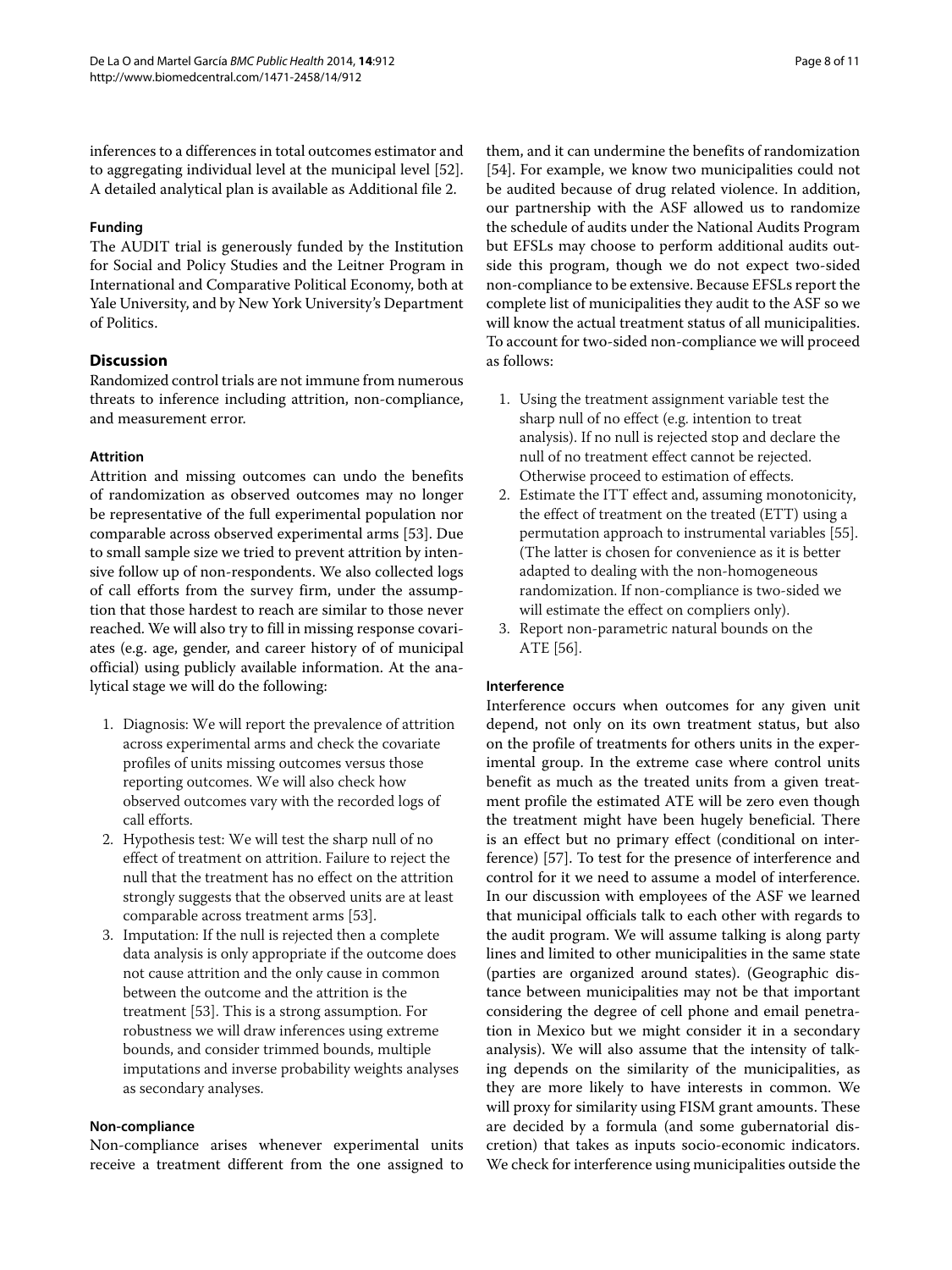inferences to a differences in total outcomes estimator and to aggregating individual level at the municipal level [\[52\]](#page-9-40). A detailed analytical plan is available as Additional file [2.](#page-8-1)

# **Funding**

The AUDIT trial is generously funded by the Institution for Social and Policy Studies and the Leitner Program in International and Comparative Political Economy, both at Yale University, and by New York University's Department of Politics.

# **Discussion**

Randomized control trials are not immune from numerous threats to inference including attrition, non-compliance, and measurement error.

# **Attrition**

Attrition and missing outcomes can undo the benefits of randomization as observed outcomes may no longer be representative of the full experimental population nor comparable across observed experimental arms [\[53\]](#page-9-41). Due to small sample size we tried to prevent attrition by intensive follow up of non-respondents. We also collected logs of call efforts from the survey firm, under the assumption that those hardest to reach are similar to those never reached. We will also try to fill in missing response covariates (e.g. age, gender, and career history of of municipal official) using publicly available information. At the analytical stage we will do the following:

- 1. Diagnosis: We will report the prevalence of attrition across experimental arms and check the covariate profiles of units missing outcomes versus those reporting outcomes. We will also check how observed outcomes vary with the recorded logs of call efforts.
- 2. Hypothesis test: We will test the sharp null of no effect of treatment on attrition. Failure to reject the null that the treatment has no effect on the attrition strongly suggests that the observed units are at least comparable across treatment arms [\[53\]](#page-9-41).
- 3. Imputation: If the null is rejected then a complete data analysis is only appropriate if the outcome does not cause attrition and the only cause in common between the outcome and the attrition is the treatment [\[53\]](#page-9-41). This is a strong assumption. For robustness we will draw inferences using extreme bounds, and consider trimmed bounds, multiple imputations and inverse probability weights analyses as secondary analyses.

# **Non-compliance**

Non-compliance arises whenever experimental units receive a treatment different from the one assigned to them, and it can undermine the benefits of randomization [\[54\]](#page-9-42). For example, we know two municipalities could not be audited because of drug related violence. In addition, our partnership with the ASF allowed us to randomize the schedule of audits under the National Audits Program but EFSLs may choose to perform additional audits outside this program, though we do not expect two-sided non-compliance to be extensive. Because EFSLs report the complete list of municipalities they audit to the ASF so we will know the actual treatment status of all municipalities. To account for two-sided non-compliance we will proceed as follows:

- 1. Using the treatment assignment variable test the sharp null of no effect (e.g. intention to treat analysis). If no null is rejected stop and declare the null of no treatment effect cannot be rejected. Otherwise proceed to estimation of effects.
- 2. Estimate the ITT effect and, assuming monotonicity, the effect of treatment on the treated (ETT) using a permutation approach to instrumental variables [\[55\]](#page-9-43). (The latter is chosen for convenience as it is better adapted to dealing with the non-homogeneous randomization. If non-compliance is two-sided we will estimate the effect on compliers only).
- 3. Report non-parametric natural bounds on the ATE [\[56\]](#page-10-0).

# **Interference**

Interference occurs when outcomes for any given unit depend, not only on its own treatment status, but also on the profile of treatments for others units in the experimental group. In the extreme case where control units benefit as much as the treated units from a given treatment profile the estimated ATE will be zero even though the treatment might have been hugely beneficial. There is an effect but no primary effect (conditional on interference) [\[57\]](#page-10-1). To test for the presence of interference and control for it we need to assume a model of interference. In our discussion with employees of the ASF we learned that municipal officials talk to each other with regards to the audit program. We will assume talking is along party lines and limited to other municipalities in the same state (parties are organized around states). (Geographic distance between municipalities may not be that important considering the degree of cell phone and email penetration in Mexico but we might consider it in a secondary analysis). We will also assume that the intensity of talking depends on the similarity of the municipalities, as they are more likely to have interests in common. We will proxy for similarity using FISM grant amounts. These are decided by a formula (and some gubernatorial discretion) that takes as inputs socio-economic indicators. We check for interference using municipalities outside the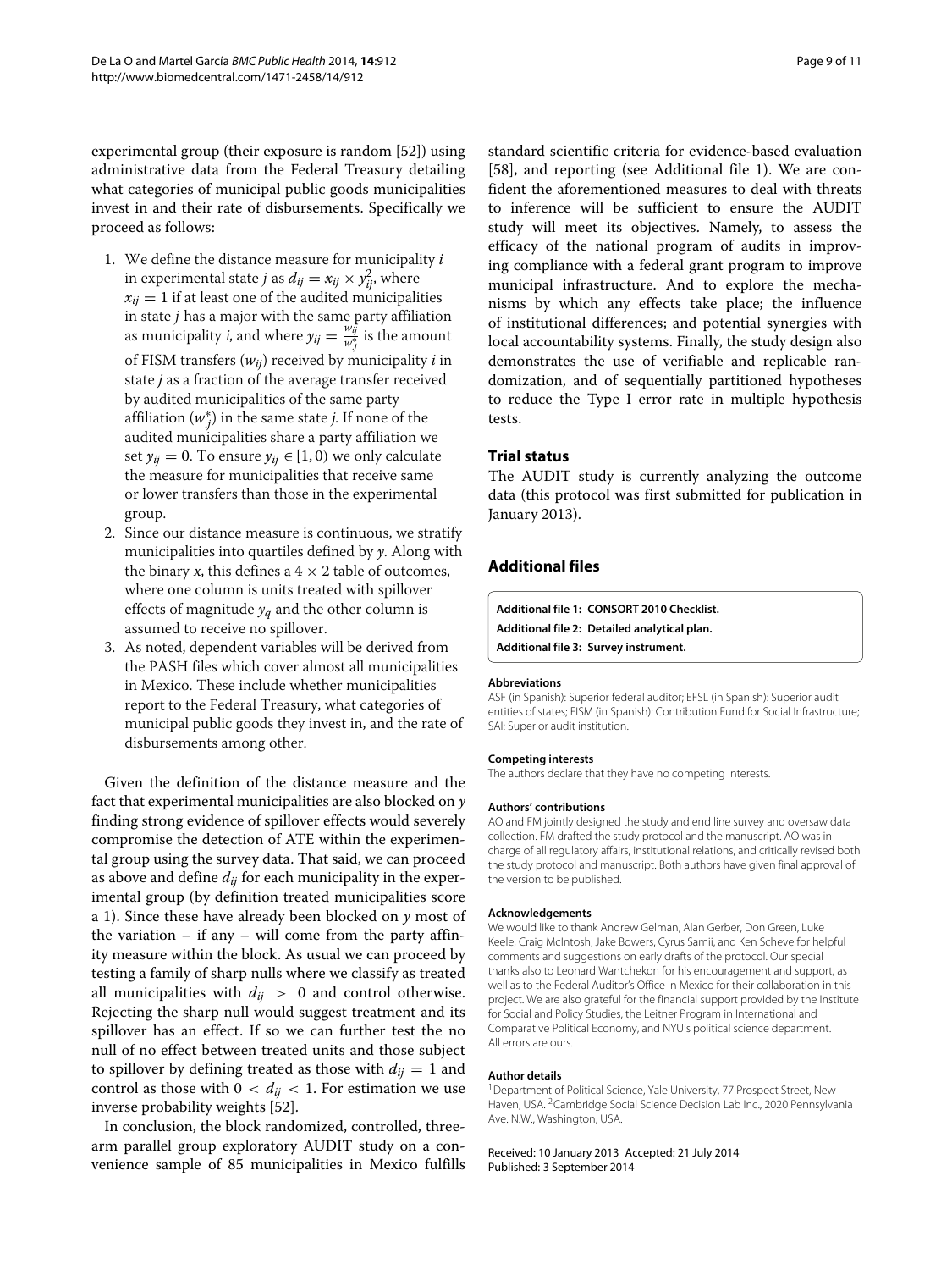experimental group (their exposure is random [\[52\]](#page-9-40)) using administrative data from the Federal Treasury detailing what categories of municipal public goods municipalities invest in and their rate of disbursements. Specifically we proceed as follows:

- 1. We define the distance measure for municipality *i* in experimental state *j* as  $d_{ij} = x_{ij} \times y_{ij}^2$ , where  $x_{ij} = 1$  if at least one of the audited municipalities in state  $j$  has a major with the same party affiliation as municipality *i*, and where  $y_{ij} = \frac{w_{ij}^{\alpha}}{w_{j}^{\ast}}$  is the amount of FISM transfers (*wij*) received by municipality *i* in state *j* as a fraction of the average transfer received by audited municipalities of the same party affiliation (*w*∗ .*j* ) in the same state j. If none of the audited municipalities share a party affiliation we set  $y_{ij} = 0$ . To ensure  $y_{ij} \in [1, 0)$  we only calculate the measure for municipalities that receive same or lower transfers than those in the experimental group.
- 2. Since our distance measure is continuous, we stratify municipalities into quartiles defined by *y*. Along with the binary x, this defines a  $4 \times 2$  table of outcomes, where one column is units treated with spillover effects of magnitude  $y_q$  and the other column is assumed to receive no spillover.
- 3. As noted, dependent variables will be derived from the PASH files which cover almost all municipalities in Mexico. These include whether municipalities report to the Federal Treasury, what categories of municipal public goods they invest in, and the rate of disbursements among other.

Given the definition of the distance measure and the fact that experimental municipalities are also blocked on *y* finding strong evidence of spillover effects would severely compromise the detection of ATE within the experimental group using the survey data. That said, we can proceed as above and define  $d_{ij}$  for each municipality in the experimental group (by definition treated municipalities score a 1). Since these have already been blocked on *y* most of the variation  $-$  if any  $-$  will come from the party affinity measure within the block. As usual we can proceed by testing a family of sharp nulls where we classify as treated all municipalities with  $d_{ij} > 0$  and control otherwise. Rejecting the sharp null would suggest treatment and its spillover has an effect. If so we can further test the no null of no effect between treated units and those subject to spillover by defining treated as those with  $d_{ii} = 1$  and control as those with  $0 < d_{ij} < 1$ . For estimation we use inverse probability weights [\[52\]](#page-9-40).

In conclusion, the block randomized, controlled, threearm parallel group exploratory AUDIT study on a convenience sample of 85 municipalities in Mexico fulfills standard scientific criteria for evidence-based evaluation [\[58\]](#page-10-2), and reporting (see Additional file [1\)](#page-8-0). We are confident the aforementioned measures to deal with threats to inference will be sufficient to ensure the AUDIT study will meet its objectives. Namely, to assess the efficacy of the national program of audits in improving compliance with a federal grant program to improve municipal infrastructure. And to explore the mechanisms by which any effects take place; the influence of institutional differences; and potential synergies with local accountability systems. Finally, the study design also demonstrates the use of verifiable and replicable randomization, and of sequentially partitioned hypotheses to reduce the Type I error rate in multiple hypothesis tests.

# **Trial status**

The AUDIT study is currently analyzing the outcome data (this protocol was first submitted for publication in January 2013).

# **Additional files**

<span id="page-8-1"></span><span id="page-8-0"></span>**[Additional file 1:](http://www.biomedcentral.com/content/supplementary/1471-2458-14-912-S1.pdf) CONSORT 2010 Checklist. [Additional file 2:](http://www.biomedcentral.com/content/supplementary/1471-2458-14-912-S2.pdf) Detailed analytical plan. [Additional file 3:](http://www.biomedcentral.com/content/supplementary/1471-2458-14-912-S3.pdf) Survey instrument.**

#### <span id="page-8-2"></span>**Abbreviations**

ASF (in Spanish): Superior federal auditor; EFSL (in Spanish): Superior audit entities of states; FISM (in Spanish): Contribution Fund for Social Infrastructure; SAI: Superior audit institution.

#### **Competing interests**

The authors declare that they have no competing interests.

#### **Authors' contributions**

AO and FM jointly designed the study and end line survey and oversaw data collection. FM drafted the study protocol and the manuscript. AO was in charge of all regulatory affairs, institutional relations, and critically revised both the study protocol and manuscript. Both authors have given final approval of the version to be published.

#### **Acknowledgements**

We would like to thank Andrew Gelman, Alan Gerber, Don Green, Luke Keele, Craig McIntosh, Jake Bowers, Cyrus Samii, and Ken Scheve for helpful comments and suggestions on early drafts of the protocol. Our special thanks also to Leonard Wantchekon for his encouragement and support, as well as to the Federal Auditor's Office in Mexico for their collaboration in this project. We are also grateful for the financial support provided by the Institute for Social and Policy Studies, the Leitner Program in International and Comparative Political Economy, and NYU's political science department. All errors are ours.

#### **Author details**

<sup>1</sup> Department of Political Science, Yale University, 77 Prospect Street, New Haven, USA. <sup>2</sup>Cambridge Social Science Decision Lab Inc., 2020 Pennsylvania Ave. N.W., Washington, USA.

Received: 10 January 2013 Accepted: 21 July 2014 Published: 3 September 2014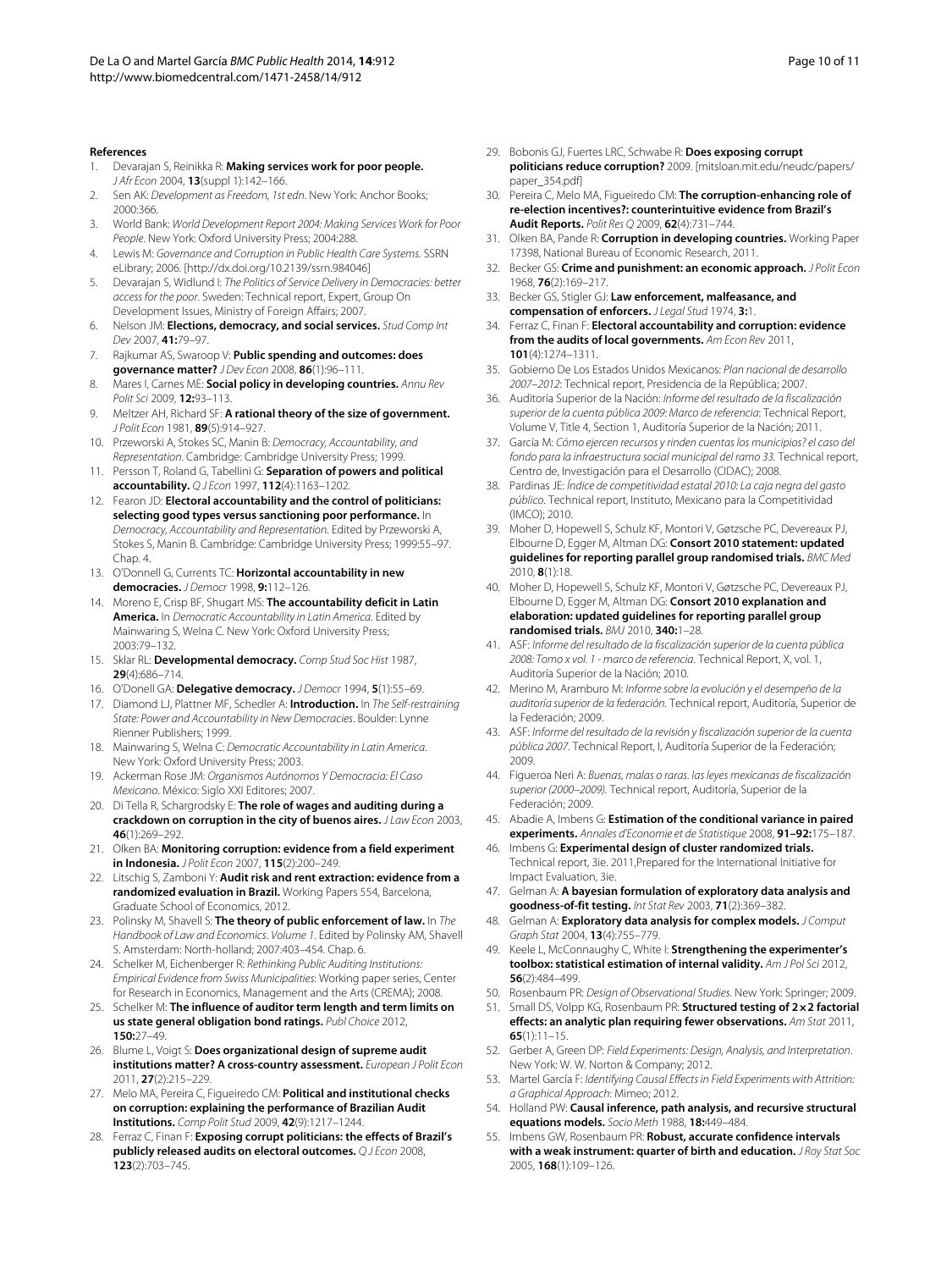#### **References**

- <span id="page-9-0"></span>1. Devarajan S, Reinikka R: **Making services work for poor people.** J Afr Econ 2004, **13**(suppl 1):142–166.
- <span id="page-9-1"></span>2. Sen AK: Development as Freedom, 1st edn. New York: Anchor Books; 2000:366.
- <span id="page-9-2"></span>3. World Bank: World Development Report 2004: Making Services Work for Poor People. New York: Oxford University Press; 2004:288.
- 4. Lewis M: Governance and Corruption in Public Health Care Systems. SSRN eLibrary; 2006. [\[http://dx.doi.org/10.2139/ssrn.984046\]](http://dx.doi.org/10.2139/ssrn.984046)
- 5. Devarajan S, Widlund I: The Politics of Service Delivery in Democracies: better access for the poor. Sweden: Technical report, Expert, Group On Development Issues, Ministry of Foreign Affairs; 2007.
- 6. Nelson JM: **Elections, democracy, and social services.** Stud Comp Int Dev 2007, **41:**79–97.
- 7. Rajkumar AS, Swaroop V: **Public spending and outcomes: does governance matter?** J Dev Econ 2008, **86**(1):96–111.
- <span id="page-9-3"></span>8. Mares I, Carnes ME: **Social policy in developing countries.** Annu Rev Polit Sci 2009, **12:**93–113.
- <span id="page-9-4"></span>9. Meltzer AH, Richard SF: **A rational theory of the size of government.** J Polit Econ 1981, **89**(5):914–927.
- <span id="page-9-5"></span>10. Przeworski A, Stokes SC, Manin B: Democracy, Accountability, and Representation. Cambridge: Cambridge University Press; 1999.
- 11. Persson T, Roland G, Tabellini G: **Separation of powers and political accountability.** Q J Econ 1997, **112**(4):1163–1202.
- <span id="page-9-6"></span>12. Fearon JD: **Electoral accountability and the control of politicians: selecting good types versus sanctioning poor performance.** In Democracy, Accountability and Representation. Edited by Przeworski A, Stokes S, Manin B. Cambridge: Cambridge University Press; 1999:55–97. Chap. 4.
- <span id="page-9-7"></span>13. O'Donnell G, Currents TC: **Horizontal accountability in new democracies.** J Democr 1998, **9:**112–126.
- <span id="page-9-8"></span>14. Moreno E, Crisp BF, Shugart MS: **The accountability deficit in Latin America.** In Democratic Accountability in Latin America. Edited by Mainwaring S, Welna C. New York: Oxford University Press; 2003:79–132.
- <span id="page-9-9"></span>15. Sklar RL: **Developmental democracy.** Comp Stud Soc Hist 1987, **29**(4):686–714.
- <span id="page-9-10"></span>16. O'Donell GA: **Delegative democracy.** J Democr 1994, **5**(1):55–69.
- <span id="page-9-11"></span>17. Diamond LJ, Plattner MF, Schedler A: **Introduction.** In The Self-restraining State: Power and Accountability in New Democracies. Boulder: Lynne Rienner Publishers; 1999.
- 18. Mainwaring S, Welna C: Democratic Accountability in Latin America. New York: Oxford University Press; 2003.
- <span id="page-9-12"></span>19. Ackerman Rose JM: Organismos Autónomos Y Democracia: El Caso Mexicano. México: Siglo XXI Editores; 2007.
- <span id="page-9-13"></span>20. Di Tella R, Schargrodsky E: **The role of wages and auditing during a crackdown on corruption in the city of buenos aires.** J Law Econ 2003, **46**(1):269–292.
- <span id="page-9-14"></span>21. Olken BA: **Monitoring corruption: evidence from a field experiment in Indonesia.** J Polit Econ 2007, **115**(2):200–249.
- <span id="page-9-15"></span>22. Litschig S, Zamboni Y: **Audit risk and rent extraction: evidence from a randomized evaluation in Brazil.** Working Papers 554, Barcelona, Graduate School of Economics, 2012.
- <span id="page-9-16"></span>23. Polinsky M, Shavell S: **The theory of public enforcement of law.** In The Handbook of Law and Economics. Volume 1. Edited by Polinsky AM, Shavell S. Amsterdam: North-holland; 2007:403–454. Chap. 6.
- 24. Schelker M, Eichenberger R: Rethinking Public Auditing Institutions: Empirical Evidence from Swiss Municipalities: Working paper series, Center for Research in Economics, Management and the Arts (CREMA); 2008.
- 25. Schelker M: **The influence of auditor term length and term limits on us state general obligation bond ratings.** Publ Choice 2012, **150:**27–49.
- <span id="page-9-17"></span>26. Blume L, Voigt S: **Does organizational design of supreme audit institutions matter? A cross-country assessment.** European J Polit Econ 2011, **27**(2):215–229.
- <span id="page-9-18"></span>27. Melo MA, Pereira C, Figueiredo CM: **Political and institutional checks on corruption: explaining the performance of Brazilian Audit Institutions.** Comp Polit Stud 2009, **42**(9):1217–1244.
- <span id="page-9-19"></span>28. Ferraz C, Finan F: **Exposing corrupt politicians: the effects of Brazil's publicly released audits on electoral outcomes.** O J Econ 2008, **123**(2):703–745.
- 29. Bobonis GJ, Fuertes LRC, Schwabe R: **Does exposing corrupt politicians reduce corruption?** 2009. [\[mitsloan.mit.edu/neudc/papers/](mitsloan.mit.edu/neudc/papers/paper_354.pdf) [paper\\_354.pdf\]](mitsloan.mit.edu/neudc/papers/paper_354.pdf)
- 30. Pereira C, Melo MA, Figueiredo CM: **The corruption-enhancing role of re-election incentives?: counterintuitive evidence from Brazil's Audit Reports.** Polit Res Q 2009, **62**(4):731–744.
- <span id="page-9-20"></span>31. Olken BA, Pande R: **Corruption in developing countries.** Working Paper 17398, National Bureau of Economic Research, 2011.
- <span id="page-9-21"></span>32. Becker GS: **Crime and punishment: an economic approach.** J Polit Econ 1968, **76**(2):169–217.
- <span id="page-9-22"></span>33. Becker GS, Stigler GJ: **Law enforcement, malfeasance, and compensation of enforcers.** J Legal Stud 1974, **3:**1.
- <span id="page-9-23"></span>34. Ferraz C, Finan F: **Electoral accountability and corruption: evidence from the audits of local governments.** Am Econ Rev 2011, **101**(4):1274–1311.
- <span id="page-9-24"></span>35. Gobierno De Los Estados Unidos Mexicanos: Plan nacional de desarrollo 2007–2012: Technical report, Presidencia de la República; 2007.
- <span id="page-9-25"></span>36. Auditoría Superior de la Nación: Informe del resultado de la fiscalización superior de la cuenta pública 2009: Marco de referencia: Technical Report, Volume V, Title 4, Section 1, Auditoría Superior de la Nación; 2011.
- 37. García M: Cómo ejercen recursos y rinden cuentas los municipios? el caso del fondo para la infraestructura social municipal del ramo 33. Technical report, Centro de, Investigación para el Desarrollo (CIDAC); 2008.
- <span id="page-9-26"></span>38. Pardinas JE: Índice de competitividad estatal 2010: La caja negra del gasto público. Technical report, Instituto, Mexicano para la Competitividad (IMCO); 2010.
- <span id="page-9-27"></span>39. Moher D, Hopewell S, Schulz KF, Montori V, Gøtzsche PC, Devereaux PJ, Elbourne D, Egger M, Altman DG: **Consort 2010 statement: updated guidelines for reporting parallel group randomised trials.** BMC Med 2010, **8**(1):18.
- <span id="page-9-28"></span>40. Moher D, Hopewell S, Schulz KF, Montori V, Gøtzsche PC, Devereaux PJ, Elbourne D, Egger M, Altman DG: **Consort 2010 explanation and elaboration: updated guidelines for reporting parallel group randomised trials.** BMJ 2010, **340:**1–28.
- <span id="page-9-29"></span>41. ASF: Informe del resultado de la fiscalización superior de la cuenta pública 2008: Tomo x vol. 1 - marco de referencia. Technical Report, X, vol. 1, Auditoría Superior de la Nación; 2010.
- <span id="page-9-30"></span>42. Merino M, Aramburo M: Informe sobre la evolución y el desempeño de la auditoría superior de la federación. Technical report, Auditoría, Superior de la Federación; 2009.
- <span id="page-9-32"></span>43. ASF: Informe del resultado de la revisión y fiscalización superior de la cuenta pública 2007. Technical Report, I, Auditoría Superior de la Federación; 2009.
- <span id="page-9-31"></span>44. Figueroa Neri A: Buenas, malas o raras. las leyes mexicanas de fiscalización superior (2000–2009). Technical report, Auditoría, Superior de la Federación; 2009.
- <span id="page-9-33"></span>45. Abadie A, Imbens G: **Estimation of the conditional variance in paired experiments.** Annales d'Economie et de Statistique 2008, **91–92:**175–187.
- <span id="page-9-34"></span>46. Imbens G: **Experimental design of cluster randomized trials.** Technical report, 3ie. 2011,Prepared for the International Initiative for Impact Evaluation, 3ie.
- <span id="page-9-35"></span>47. Gelman A: **A bayesian formulation of exploratory data analysis and goodness-of-fit testing.** Int Stat Rev 2003, **71**(2):369–382.
- <span id="page-9-36"></span>48. Gelman A: Exploratory data analysis for complex models. *J Comput* Graph Stat 2004, **13**(4):755–779.
- <span id="page-9-37"></span>49. Keele L, McConnaughy C, White I: **Strengthening the experimenter's toolbox: statistical estimation of internal validity.** Am J Pol Sci 2012, **56**(2):484–499.
- <span id="page-9-38"></span>50. Rosenbaum PR: Design of Observational Studies. New York: Springer; 2009.
- <span id="page-9-39"></span>51. Small DS, Volpp KG, Rosenbaum PR: **Structured testing of 2×2 factorial effects: an analytic plan requiring fewer observations.** Am Stat 2011, **65**(1):11–15.
- <span id="page-9-40"></span>52. Gerber A, Green DP: Field Experiments: Design, Analysis, and Interpretation. New York: W. W. Norton & Company; 2012.
- <span id="page-9-41"></span>53. Martel García F: Identifying Causal Effects in Field Experiments with Attrition: a Graphical Approach: Mimeo; 2012.
- <span id="page-9-42"></span>54. Holland PW: **Causal inference, path analysis, and recursive structural equations models.** Socio Meth 1988, **18:**449–484.
- <span id="page-9-43"></span>55. Imbens GW, Rosenbaum PR: **Robust, accurate confidence intervals with a weak instrument: quarter of birth and education.** J Roy Stat Soc 2005, **168**(1):109–126.